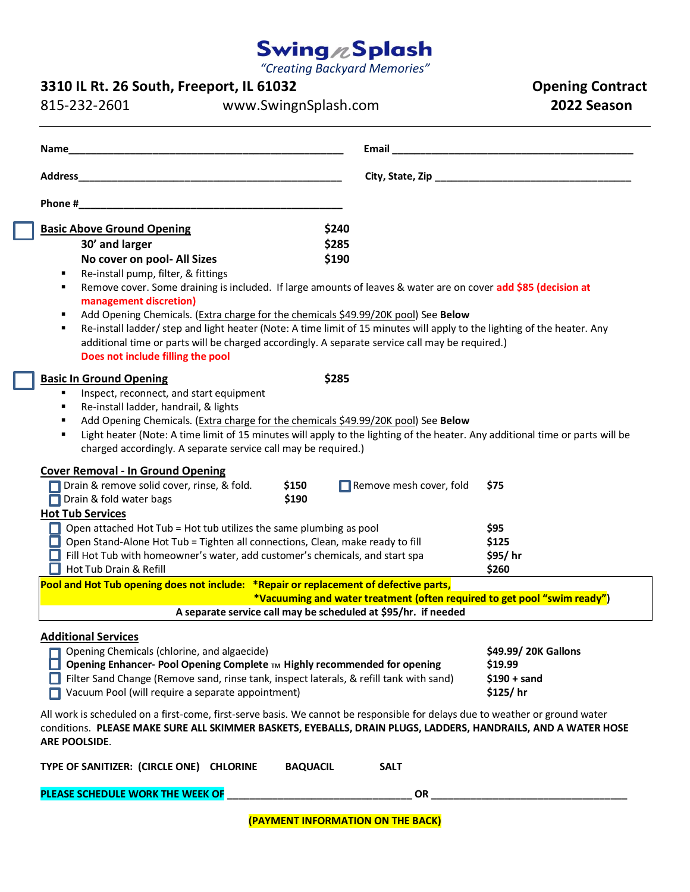# Swing <sub>/2</sub>Splash

*"Creating Backyard Memories"*

### **3310 IL Rt. 26 South, Freeport, IL 61032 Opening Contract**

815-232-2601 www.SwingnSplash.com **2022 Season**

| Name                                                                                                                                                                                                                                                                                                         | Email <b>Expansion of the Community of the Community</b> of the Community of the Community of the Community of the Community of the Community of the Community of the Community of the Community of the Community of the Community |                      |  |  |
|--------------------------------------------------------------------------------------------------------------------------------------------------------------------------------------------------------------------------------------------------------------------------------------------------------------|------------------------------------------------------------------------------------------------------------------------------------------------------------------------------------------------------------------------------------|----------------------|--|--|
|                                                                                                                                                                                                                                                                                                              |                                                                                                                                                                                                                                    |                      |  |  |
| Phone #                                                                                                                                                                                                                                                                                                      |                                                                                                                                                                                                                                    |                      |  |  |
| <b>Basic Above Ground Opening</b><br>30' and larger<br>No cover on pool- All Sizes                                                                                                                                                                                                                           | \$240<br>\$285<br>\$190                                                                                                                                                                                                            |                      |  |  |
| Re-install pump, filter, & fittings<br>٠<br>Remove cover. Some draining is included. If large amounts of leaves & water are on cover add \$85 (decision at<br>٠<br>management discretion)<br>Add Opening Chemicals. (Extra charge for the chemicals \$49.99/20K pool) See Below<br>٠                         |                                                                                                                                                                                                                                    |                      |  |  |
| Re-install ladder/ step and light heater (Note: A time limit of 15 minutes will apply to the lighting of the heater. Any<br>٠<br>additional time or parts will be charged accordingly. A separate service call may be required.)<br>Does not include filling the pool                                        |                                                                                                                                                                                                                                    |                      |  |  |
| <b>Basic In Ground Opening</b>                                                                                                                                                                                                                                                                               | \$285                                                                                                                                                                                                                              |                      |  |  |
| Inspect, reconnect, and start equipment<br>$\blacksquare$                                                                                                                                                                                                                                                    |                                                                                                                                                                                                                                    |                      |  |  |
| Re-install ladder, handrail, & lights<br>٠                                                                                                                                                                                                                                                                   |                                                                                                                                                                                                                                    |                      |  |  |
| Add Opening Chemicals. (Extra charge for the chemicals \$49.99/20K pool) See Below<br>٠<br>Light heater (Note: A time limit of 15 minutes will apply to the lighting of the heater. Any additional time or parts will be<br>$\blacksquare$<br>charged accordingly. A separate service call may be required.) |                                                                                                                                                                                                                                    |                      |  |  |
| <b>Cover Removal - In Ground Opening</b>                                                                                                                                                                                                                                                                     |                                                                                                                                                                                                                                    |                      |  |  |
| Drain & remove solid cover, rinse, & fold.<br>\$150<br>Drain & fold water bags<br>\$190                                                                                                                                                                                                                      | Remove mesh cover, fold                                                                                                                                                                                                            | \$75                 |  |  |
| <b>Hot Tub Services</b>                                                                                                                                                                                                                                                                                      |                                                                                                                                                                                                                                    |                      |  |  |
| $\Box$ Open attached Hot Tub = Hot tub utilizes the same plumbing as pool                                                                                                                                                                                                                                    |                                                                                                                                                                                                                                    | \$95                 |  |  |
| Open Stand-Alone Hot Tub = Tighten all connections, Clean, make ready to fill<br>ш                                                                                                                                                                                                                           |                                                                                                                                                                                                                                    | \$125                |  |  |
| $\Box$ Fill Hot Tub with homeowner's water, add customer's chemicals, and start spa                                                                                                                                                                                                                          |                                                                                                                                                                                                                                    | \$95/hr              |  |  |
| Hot Tub Drain & Refill                                                                                                                                                                                                                                                                                       |                                                                                                                                                                                                                                    | \$260                |  |  |
| Pool and Hot Tub opening does not include: *Repair or replacement of defective parts,                                                                                                                                                                                                                        |                                                                                                                                                                                                                                    |                      |  |  |
| *Vacuuming and water treatment (often required to get pool "swim ready")<br>A separate service call may be scheduled at \$95/hr. if needed                                                                                                                                                                   |                                                                                                                                                                                                                                    |                      |  |  |
|                                                                                                                                                                                                                                                                                                              |                                                                                                                                                                                                                                    |                      |  |  |
| <b>Additional Services</b>                                                                                                                                                                                                                                                                                   |                                                                                                                                                                                                                                    |                      |  |  |
| Opening Chemicals (chlorine, and algaecide)                                                                                                                                                                                                                                                                  |                                                                                                                                                                                                                                    | \$49.99/ 20K Gallons |  |  |
| Opening Enhancer- Pool Opening Complete TM Highly recommended for opening                                                                                                                                                                                                                                    |                                                                                                                                                                                                                                    | \$19.99              |  |  |
| Filter Sand Change (Remove sand, rinse tank, inspect laterals, & refill tank with sand)                                                                                                                                                                                                                      |                                                                                                                                                                                                                                    | $$190 + sand$        |  |  |
| Vacuum Pool (will require a separate appointment)                                                                                                                                                                                                                                                            |                                                                                                                                                                                                                                    | \$125/hr             |  |  |
| All work is scheduled on a first-come, first-serve basis. We cannot be responsible for delays due to weather or ground water<br>conditions. PLEASE MAKE SURE ALL SKIMMER BASKETS, EYEBALLS, DRAIN PLUGS, LADDERS, HANDRAILS, AND A WATER HOSE<br>ARE POOLSIDE.                                               |                                                                                                                                                                                                                                    |                      |  |  |
| TYPE OF SANITIZER: (CIRCLE ONE) CHLORINE<br><b>BAQUACIL</b>                                                                                                                                                                                                                                                  | <b>SALT</b>                                                                                                                                                                                                                        |                      |  |  |
| PLEASE SCHEDULE WORK THE WEEK OF                                                                                                                                                                                                                                                                             | OR                                                                                                                                                                                                                                 |                      |  |  |

**(PAYMENT INFORMATION ON THE BACK)**